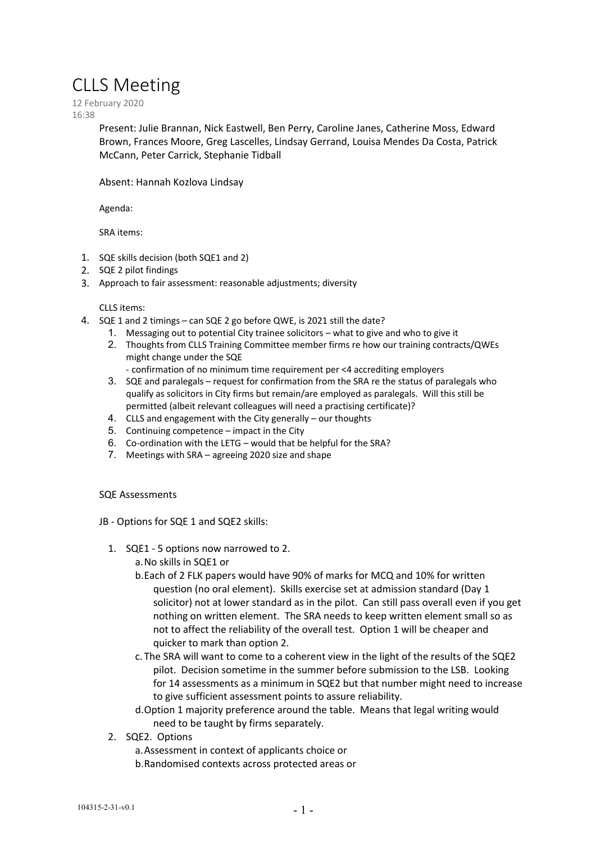# CLLS Meeting

12 February 2020 16:38

> Present: Julie Brannan, Nick Eastwell, Ben Perry, Caroline Janes, Catherine Moss, Edward Brown, Frances Moore, Greg Lascelles, Lindsay Gerrand, Louisa Mendes Da Costa, Patrick McCann, Peter Carrick, Stephanie Tidball

Absent: Hannah Kozlova Lindsay

Agenda:

SRA items:

- 1. SQE skills decision (both SQE1 and 2)
- 2. SQE 2 pilot findings
- 3. Approach to fair assessment: reasonable adjustments; diversity

# CLLS items:

- 4. SQE 1 and 2 timings can SQE 2 go before QWE, is 2021 still the date?
	- 1. Messaging out to potential City trainee solicitors what to give and who to give it
	- 2. Thoughts from CLLS Training Committee member firms re how our training contracts/QWEs might change under the SQE
		- confirmation of no minimum time requirement per <4 accrediting employers
	- 3. SQE and paralegals request for confirmation from the SRA re the status of paralegals who qualify as solicitors in City firms but remain/are employed as paralegals. Will this still be permitted (albeit relevant colleagues will need a practising certificate)?
	- 4. CLLS and engagement with the City generally our thoughts
	- 5. Continuing competence impact in the City
	- 6. Co-ordination with the LETG would that be helpful for the SRA?
	- 7. Meetings with SRA agreeing 2020 size and shape

# SQE Assessments

JB - Options for SQE 1 and SQE2 skills:

- 1. SQE1 5 options now narrowed to 2.
	- a.No skills in SQE1 or
		- b.Each of 2 FLK papers would have 90% of marks for MCQ and 10% for written question (no oral element). Skills exercise set at admission standard (Day 1 solicitor) not at lower standard as in the pilot. Can still pass overall even if you get nothing on written element. The SRA needs to keep written element small so as not to affect the reliability of the overall test. Option 1 will be cheaper and quicker to mark than option 2.
	- c. The SRA will want to come to a coherent view in the light of the results of the SQE2 pilot. Decision sometime in the summer before submission to the LSB. Looking for 14 assessments as a minimum in SQE2 but that number might need to increase to give sufficient assessment points to assure reliability.
	- d.Option 1 majority preference around the table. Means that legal writing would need to be taught by firms separately.
- 2. SQE2. Options
	- a.Assessment in context of applicants choice or
	- b.Randomised contexts across protected areas or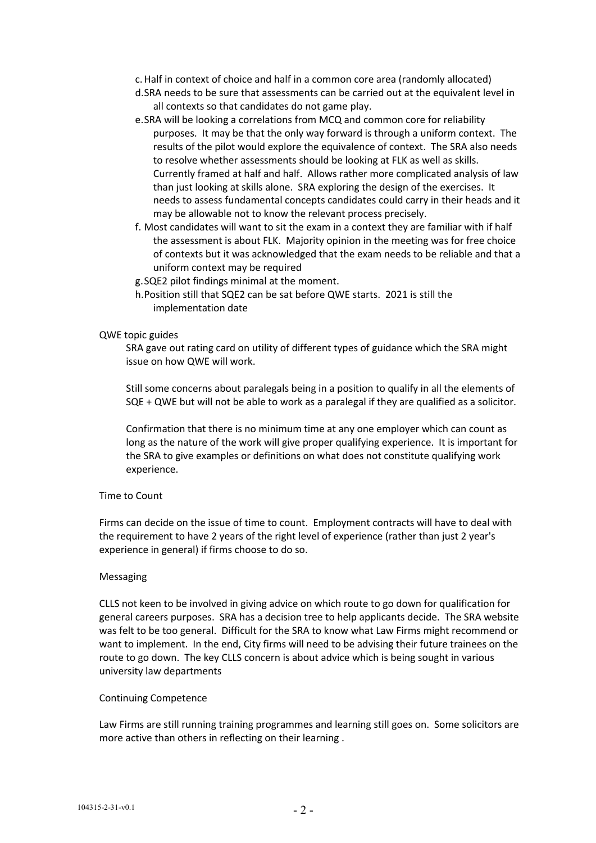- c.Half in context of choice and half in a common core area (randomly allocated)
- d.SRA needs to be sure that assessments can be carried out at the equivalent level in all contexts so that candidates do not game play.
- e.SRA will be looking a correlations from MCQ and common core for reliability purposes. It may be that the only way forward is through a uniform context. The results of the pilot would explore the equivalence of context. The SRA also needs to resolve whether assessments should be looking at FLK as well as skills. Currently framed at half and half. Allows rather more complicated analysis of law than just looking at skills alone. SRA exploring the design of the exercises. It needs to assess fundamental concepts candidates could carry in their heads and it may be allowable not to know the relevant process precisely.
- f. Most candidates will want to sit the exam in a context they are familiar with if half the assessment is about FLK. Majority opinion in the meeting was for free choice of contexts but it was acknowledged that the exam needs to be reliable and that a uniform context may be required
- g.SQE2 pilot findings minimal at the moment.
- h.Position still that SQE2 can be sat before QWE starts. 2021 is still the implementation date

# QWE topic guides

SRA gave out rating card on utility of different types of guidance which the SRA might issue on how QWE will work.

Still some concerns about paralegals being in a position to qualify in all the elements of SQE + QWE but will not be able to work as a paralegal if they are qualified as a solicitor.

Confirmation that there is no minimum time at any one employer which can count as long as the nature of the work will give proper qualifying experience. It is important for the SRA to give examples or definitions on what does not constitute qualifying work experience.

#### Time to Count

Firms can decide on the issue of time to count. Employment contracts will have to deal with the requirement to have 2 years of the right level of experience (rather than just 2 year's experience in general) if firms choose to do so.

#### Messaging

CLLS not keen to be involved in giving advice on which route to go down for qualification for general careers purposes. SRA has a decision tree to help applicants decide. The SRA website was felt to be too general. Difficult for the SRA to know what Law Firms might recommend or want to implement. In the end, City firms will need to be advising their future trainees on the route to go down. The key CLLS concern is about advice which is being sought in various university law departments

### Continuing Competence

Law Firms are still running training programmes and learning still goes on. Some solicitors are more active than others in reflecting on their learning .